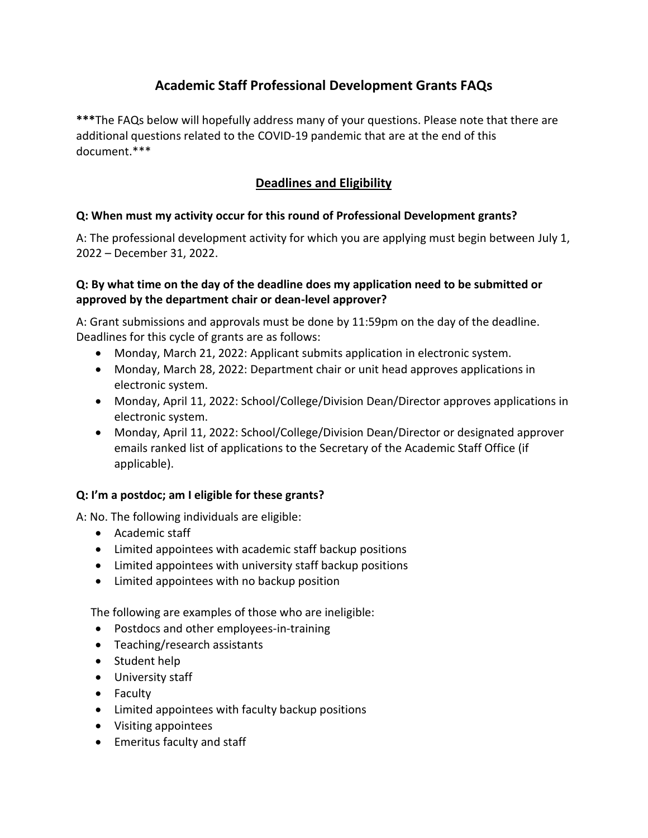# **Academic Staff Professional Development Grants FAQs**

**\*\*\***The FAQs below will hopefully address many of your questions. Please note that there are additional questions related to the COVID-19 pandemic that are at the end of this document.\*\*\*

# **Deadlines and Eligibility**

# **Q: When must my activity occur for this round of Professional Development grants?**

A: The professional development activity for which you are applying must begin between July 1, 2022 – December 31, 2022.

# **Q: By what time on the day of the deadline does my application need to be submitted or approved by the department chair or dean-level approver?**

A: Grant submissions and approvals must be done by 11:59pm on the day of the deadline. Deadlines for this cycle of grants are as follows:

- Monday, March 21, 2022: Applicant submits application in electronic system.
- Monday, March 28, 2022: Department chair or unit head approves applications in electronic system.
- Monday, April 11, 2022: School/College/Division Dean/Director approves applications in electronic system.
- Monday, April 11, 2022: School/College/Division Dean/Director or designated approver emails ranked list of applications to the Secretary of the Academic Staff Office (if applicable).

# **Q: I'm a postdoc; am I eligible for these grants?**

A: No. The following individuals are eligible:

- Academic staff
- Limited appointees with academic staff backup positions
- Limited appointees with university staff backup positions
- Limited appointees with no backup position

The following are examples of those who are ineligible:

- Postdocs and other employees-in-training
- Teaching/research assistants
- Student help
- University staff
- Faculty
- Limited appointees with faculty backup positions
- Visiting appointees
- Emeritus faculty and staff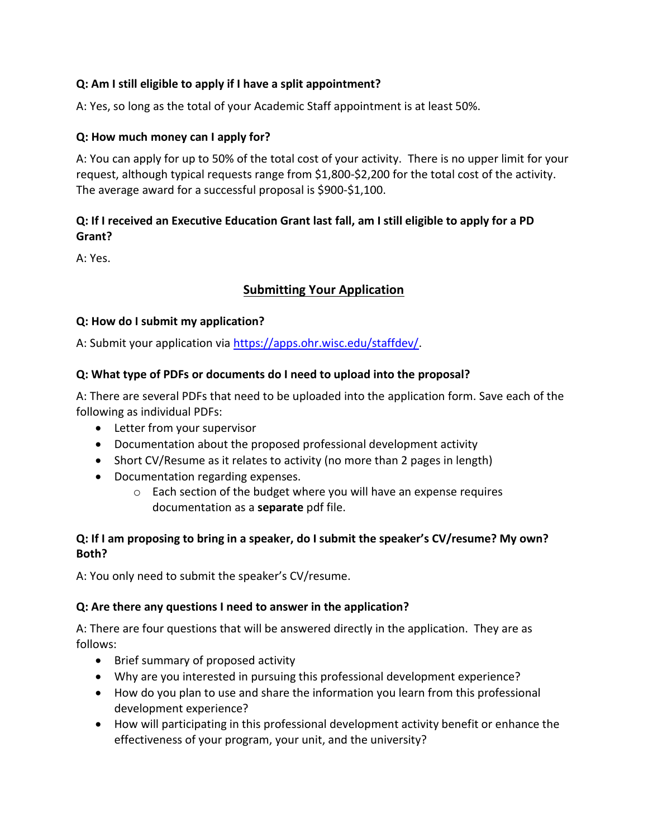# **Q: Am I still eligible to apply if I have a split appointment?**

A: Yes, so long as the total of your Academic Staff appointment is at least 50%.

#### **Q: How much money can I apply for?**

A: You can apply for up to 50% of the total cost of your activity. There is no upper limit for your request, although typical requests range from \$1,800-\$2,200 for the total cost of the activity. The average award for a successful proposal is \$900-\$1,100.

# **Q: If I received an Executive Education Grant last fall, am I still eligible to apply for a PD Grant?**

A: Yes.

# **Submitting Your Application**

#### **Q: How do I submit my application?**

A: Submit your application via [https://apps.ohr.wisc.edu/staffdev/.](https://apps.ohr.wisc.edu/staffdev/)

# **Q: What type of PDFs or documents do I need to upload into the proposal?**

A: There are several PDFs that need to be uploaded into the application form. Save each of the following as individual PDFs:

- Letter from your supervisor
- Documentation about the proposed professional development activity
- Short CV/Resume as it relates to activity (no more than 2 pages in length)
- Documentation regarding expenses.
	- o Each section of the budget where you will have an expense requires documentation as a **separate** pdf file.

# **Q: If I am proposing to bring in a speaker, do I submit the speaker's CV/resume? My own? Both?**

A: You only need to submit the speaker's CV/resume.

#### **Q: Are there any questions I need to answer in the application?**

A: There are four questions that will be answered directly in the application. They are as follows:

- Brief summary of proposed activity
- Why are you interested in pursuing this professional development experience?
- How do you plan to use and share the information you learn from this professional development experience?
- How will participating in this professional development activity benefit or enhance the effectiveness of your program, your unit, and the university?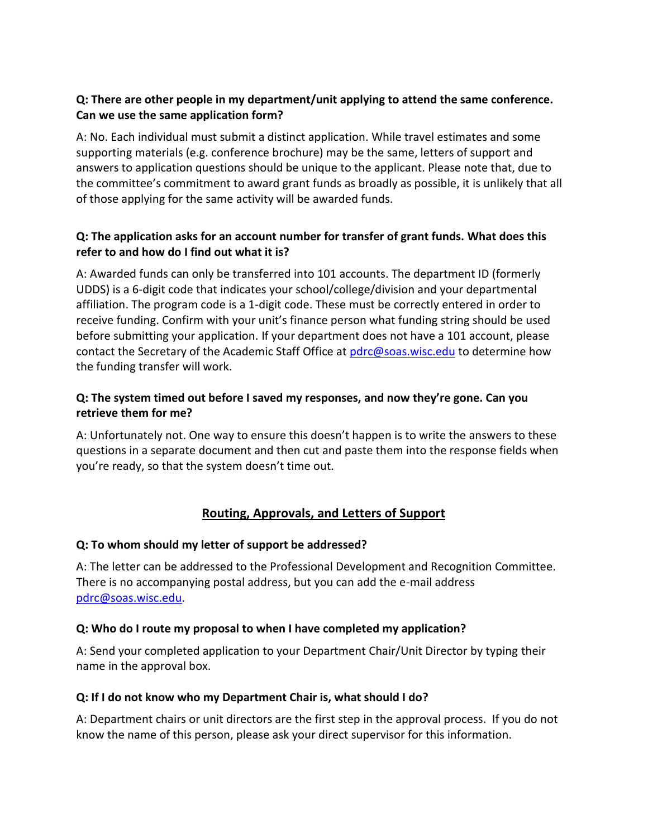## **Q: There are other people in my department/unit applying to attend the same conference. Can we use the same application form?**

A: No. Each individual must submit a distinct application. While travel estimates and some supporting materials (e.g. conference brochure) may be the same, letters of support and answers to application questions should be unique to the applicant. Please note that, due to the committee's commitment to award grant funds as broadly as possible, it is unlikely that all of those applying for the same activity will be awarded funds.

# **Q: The application asks for an account number for transfer of grant funds. What does this refer to and how do I find out what it is?**

A: Awarded funds can only be transferred into 101 accounts. The department ID (formerly UDDS) is a 6-digit code that indicates your school/college/division and your departmental affiliation. The program code is a 1-digit code. These must be correctly entered in order to receive funding. Confirm with your unit's finance person what funding string should be used before submitting your application. If your department does not have a 101 account, please contact the Secretary of the Academic Staff Office at [pdrc@soas.wisc.edu](mailto:pdrc@soas.wisc.edu) to determine how the funding transfer will work.

# **Q: The system timed out before I saved my responses, and now they're gone. Can you retrieve them for me?**

A: Unfortunately not. One way to ensure this doesn't happen is to write the answers to these questions in a separate document and then cut and paste them into the response fields when you're ready, so that the system doesn't time out.

# **Routing, Approvals, and Letters of Support**

# **Q: To whom should my letter of support be addressed?**

A: The letter can be addressed to the Professional Development and Recognition Committee. There is no accompanying postal address, but you can add the e-mail address [pdrc@soas.wisc.edu.](mailto:pdrc@soas.wisc.edu)

#### **Q: Who do I route my proposal to when I have completed my application?**

A: Send your completed application to your Department Chair/Unit Director by typing their name in the approval box.

#### **Q: If I do not know who my Department Chair is, what should I do?**

A: Department chairs or unit directors are the first step in the approval process. If you do not know the name of this person, please ask your direct supervisor for this information.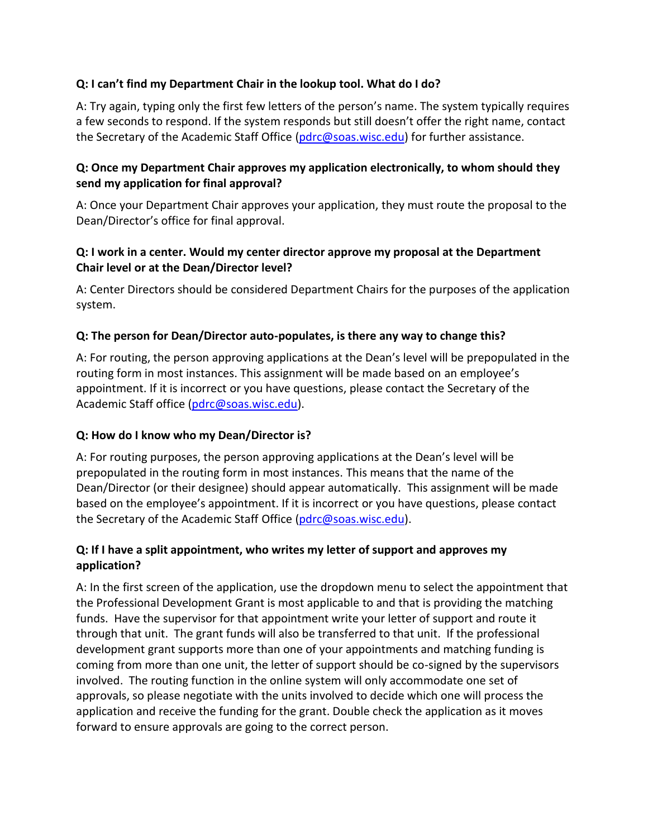#### **Q: I can't find my Department Chair in the lookup tool. What do I do?**

A: Try again, typing only the first few letters of the person's name. The system typically requires a few seconds to respond. If the system responds but still doesn't offer the right name, contact the Secretary of the Academic Staff Office [\(pdrc@soas.wisc.edu\)](mailto:pdrc@soas.wisc.edu) for further assistance.

#### **Q: Once my Department Chair approves my application electronically, to whom should they send my application for final approval?**

A: Once your Department Chair approves your application, they must route the proposal to the Dean/Director's office for final approval.

# **Q: I work in a center. Would my center director approve my proposal at the Department Chair level or at the Dean/Director level?**

A: Center Directors should be considered Department Chairs for the purposes of the application system.

# **Q: The person for Dean/Director auto-populates, is there any way to change this?**

A: For routing, the person approving applications at the Dean's level will be prepopulated in the routing form in most instances. This assignment will be made based on an employee's appointment. If it is incorrect or you have questions, please contact the Secretary of the Academic Staff office [\(pdrc@soas.wisc.edu\)](mailto:pdrc@soas.wisc.edu).

#### **Q: How do I know who my Dean/Director is?**

A: For routing purposes, the person approving applications at the Dean's level will be prepopulated in the routing form in most instances. This means that the name of the Dean/Director (or their designee) should appear automatically. This assignment will be made based on the employee's appointment. If it is incorrect or you have questions, please contact the Secretary of the Academic Staff Office [\(pdrc@soas.wisc.edu\)](mailto:pdrc@soas.wisc.edu).

# **Q: If I have a split appointment, who writes my letter of support and approves my application?**

A: In the first screen of the application, use the dropdown menu to select the appointment that the Professional Development Grant is most applicable to and that is providing the matching funds. Have the supervisor for that appointment write your letter of support and route it through that unit. The grant funds will also be transferred to that unit. If the professional development grant supports more than one of your appointments and matching funding is coming from more than one unit, the letter of support should be co-signed by the supervisors involved. The routing function in the online system will only accommodate one set of approvals, so please negotiate with the units involved to decide which one will process the application and receive the funding for the grant. Double check the application as it moves forward to ensure approvals are going to the correct person.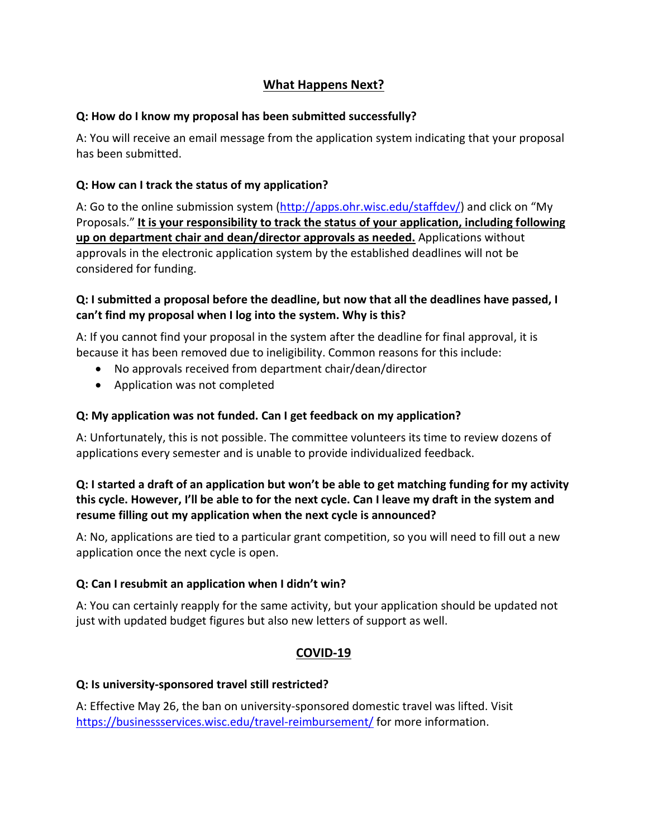# **What Happens Next?**

#### **Q: How do I know my proposal has been submitted successfully?**

A: You will receive an email message from the application system indicating that your proposal has been submitted.

# **Q: How can I track the status of my application?**

A: Go to the online submission system [\(http://apps.ohr.wisc.edu/staffdev/](http://apps.ohr.wisc.edu/staffdev/)) and click on "My Proposals." **It is your responsibility to track the status of your application, including following up on department chair and dean/director approvals as needed.** Applications without approvals in the electronic application system by the established deadlines will not be considered for funding.

#### **Q: I submitted a proposal before the deadline, but now that all the deadlines have passed, I can't find my proposal when I log into the system. Why is this?**

A: If you cannot find your proposal in the system after the deadline for final approval, it is because it has been removed due to ineligibility. Common reasons for this include:

- No approvals received from department chair/dean/director
- Application was not completed

# **Q: My application was not funded. Can I get feedback on my application?**

A: Unfortunately, this is not possible. The committee volunteers its time to review dozens of applications every semester and is unable to provide individualized feedback.

# **Q: I started a draft of an application but won't be able to get matching funding for my activity this cycle. However, I'll be able to for the next cycle. Can I leave my draft in the system and resume filling out my application when the next cycle is announced?**

A: No, applications are tied to a particular grant competition, so you will need to fill out a new application once the next cycle is open.

#### **Q: Can I resubmit an application when I didn't win?**

A: You can certainly reapply for the same activity, but your application should be updated not just with updated budget figures but also new letters of support as well.

# **COVID-19**

#### **Q: Is university-sponsored travel still restricted?**

A: Effective May 26, the ban on university-sponsored domestic travel was lifted. Visit <https://businessservices.wisc.edu/travel-reimbursement/> for more information.